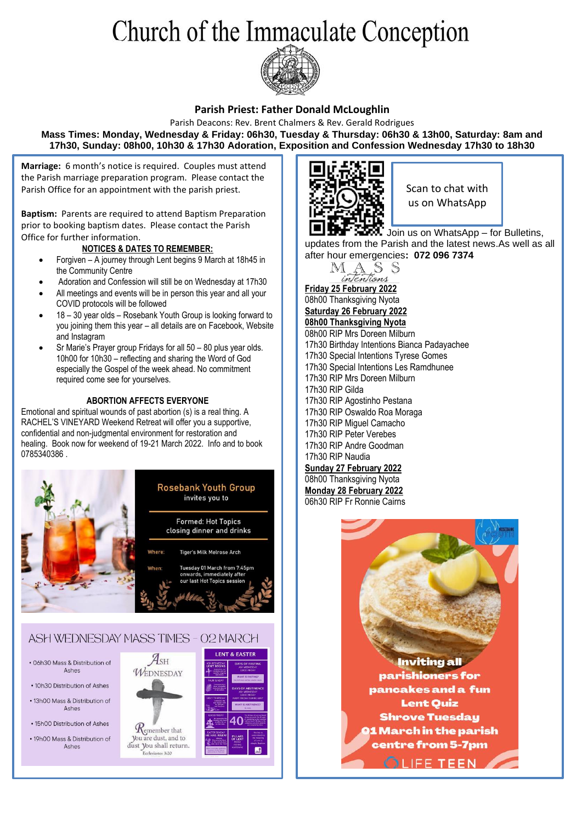# Church of the Immaculate Conception



### **Parish Priest: Father Donald McLoughlin**

Parish Deacons: Rev. Brent Chalmers & Rev. Gerald Rodrigues **Mass Times: Monday, Wednesday & Friday: 06h30, Tuesday & Thursday: 06h30 & 13h00, Saturday: 8am and 17h30, Sunday: 08h00, 10h30 & 17h30 Adoration, Exposition and Confession Wednesday 17h30 to 18h30**

**Marriage:** 6 month's notice is required. Couples must attend the Parish marriage preparation program. Please contact the Parish Office for an appointment with the parish priest.

**Baptism:** Parents are required to attend Baptism Preparation prior to booking baptism dates. Please contact the Parish Office for further information.

#### **NOTICES & DATES TO REMEMBER:**

- Forgiven A journey through Lent begins 9 March at 18h45 in the Community Centre
- Adoration and Confession will still be on Wednesday at 17h30
- All meetings and events will be in person this year and all your COVID protocols will be followed
- 18 30 year olds Rosebank Youth Group is looking forward to you joining them this year – all details are on Facebook, Website and Instagram
- Sr Marie's Prayer group Fridays for all 50 80 plus year olds. 10h00 for 10h30 – reflecting and sharing the Word of God especially the Gospel of the week ahead. No commitment required come see for yourselves.

#### **ABORTION AFFECTS EVERYONE**

Emotional and spiritual wounds of past abortion (s) is a real thing. A RACHEL'S VINEYARD Weekend Retreat will offer you a supportive, confidential and non-judgmental environment for restoration and healing. Book now for weekend of 19-21 March 2022. Info and to book 0785340386 .





Scan to chat with us on WhatsApp

Join us on WhatsApp – for Bulletins, updates from the Parish and the latest news.As well as all after hour emergencies**: 072 096 7374**



 **Friday 25 February 2022** 08h00 Thanksgiving Nyota **Saturday 26 February 2022 08h00 Thanksgiving Nyota** 08h00 RIP Mrs Doreen Milburn 17h30 Birthday Intentions Bianca Padayachee 17h30 Special Intentions Tyrese Gomes 17h30 Special Intentions Les Ramdhunee 17h30 RIP Mrs Doreen Milburn 17h30 RIP Gilda 17h30 RIP Agostinho Pestana 17h30 RIP Oswaldo Roa Moraga 17h30 RIP Miguel Camacho 17h30 RIP Peter Verebes 17h30 RIP Andre Goodman 17h30 RIP Naudia **Sunday 27 February 2022** 08h00 Thanksgiving Nyota **Monday 28 February 2022**